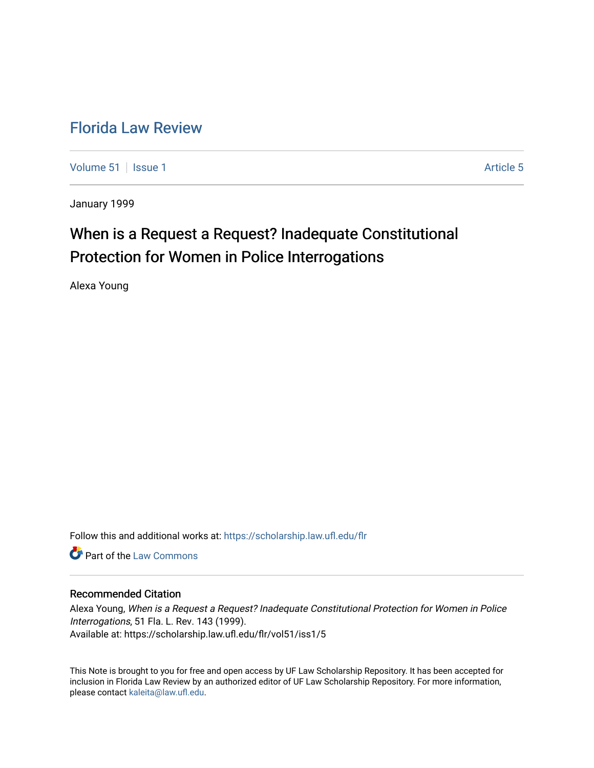# [Florida Law Review](https://scholarship.law.ufl.edu/flr)

[Volume 51](https://scholarship.law.ufl.edu/flr/vol51) | [Issue 1](https://scholarship.law.ufl.edu/flr/vol51/iss1) Article 5

January 1999

# When is a Request a Request? Inadequate Constitutional Protection for Women in Police Interrogations

Alexa Young

Follow this and additional works at: [https://scholarship.law.ufl.edu/flr](https://scholarship.law.ufl.edu/flr?utm_source=scholarship.law.ufl.edu%2Fflr%2Fvol51%2Fiss1%2F5&utm_medium=PDF&utm_campaign=PDFCoverPages)

**C** Part of the [Law Commons](http://network.bepress.com/hgg/discipline/578?utm_source=scholarship.law.ufl.edu%2Fflr%2Fvol51%2Fiss1%2F5&utm_medium=PDF&utm_campaign=PDFCoverPages)

### Recommended Citation

Alexa Young, When is a Request a Request? Inadequate Constitutional Protection for Women in Police Interrogations, 51 Fla. L. Rev. 143 (1999). Available at: https://scholarship.law.ufl.edu/flr/vol51/iss1/5

This Note is brought to you for free and open access by UF Law Scholarship Repository. It has been accepted for inclusion in Florida Law Review by an authorized editor of UF Law Scholarship Repository. For more information, please contact [kaleita@law.ufl.edu](mailto:kaleita@law.ufl.edu).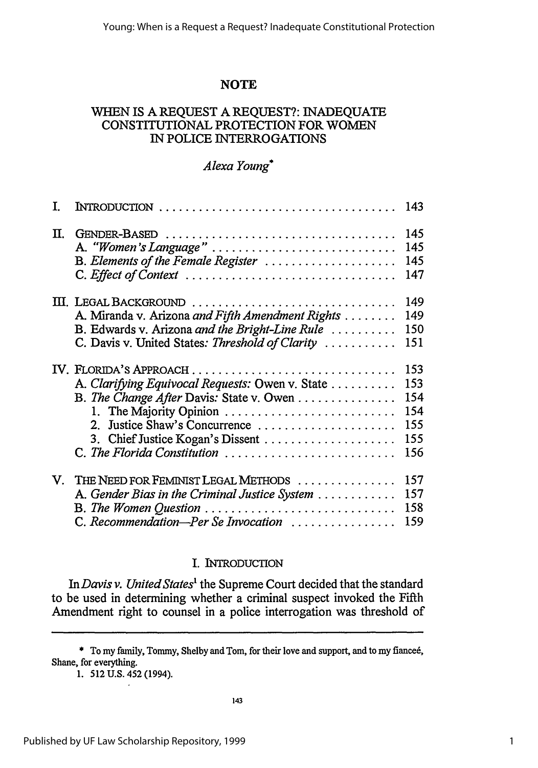## **NOTE**

### WHEN IS A REQUEST A REQUEST?: INADEQUATE CONSTITUTIONAL PROTECTION FOR WOMEN IN POLICE INTERROGATIONS

### *Alexa Young\**

| T.           |                                                                                                                                                                                                                                                                  | 143                                           |
|--------------|------------------------------------------------------------------------------------------------------------------------------------------------------------------------------------------------------------------------------------------------------------------|-----------------------------------------------|
| П.           | GENDER-BASED<br>A. "Women's Language"<br>B. Elements of the Female Register<br>C. Effect of Context                                                                                                                                                              | 145<br>145<br>145<br>147                      |
|              | III. LEGAL BACKGROUND<br>A. Miranda v. Arizona and Fifth Amendment Rights<br>B. Edwards v. Arizona and the Bright-Line Rule<br>C. Davis v. United States: Threshold of Clarity                                                                                   | 149<br>149<br>150<br>151                      |
|              | IV. FLORIDA'S APPROACH<br>A. Clarifying Equivocal Requests: Owen v. State<br>B. The Change After Davis: State v. Owen<br>1. The Majority Opinion<br>Justice Shaw's Concurrence<br>$2^{\circ}$<br>3. Chief Justice Kogan's Dissent<br>C. The Florida Constitution | 153<br>153<br>154<br>154<br>155<br>155<br>156 |
| $\mathbf{V}$ | THE NEED FOR FEMINIST LEGAL METHODS<br>A. Gender Bias in the Criminal Justice System<br>$B.$ The Women Question $\ldots \ldots \ldots \ldots \ldots \ldots \ldots \ldots$<br>C. Recommendation-Per Se Invocation                                                 | 157<br>157<br>158<br>159                      |

### I. INTRODUCTION

*InDavis v. United States'* the Supreme Court decided that the standard to be used in determining whether a criminal suspect invoked the Fifth Amendment right to counsel in a police interrogation was threshold of

<sup>\*</sup> To my family, Tommy, Shelby and Tom, for their love and support, and to my fiance6, Shane, for everything.

<sup>1. 512</sup> U.S. 452 (1994).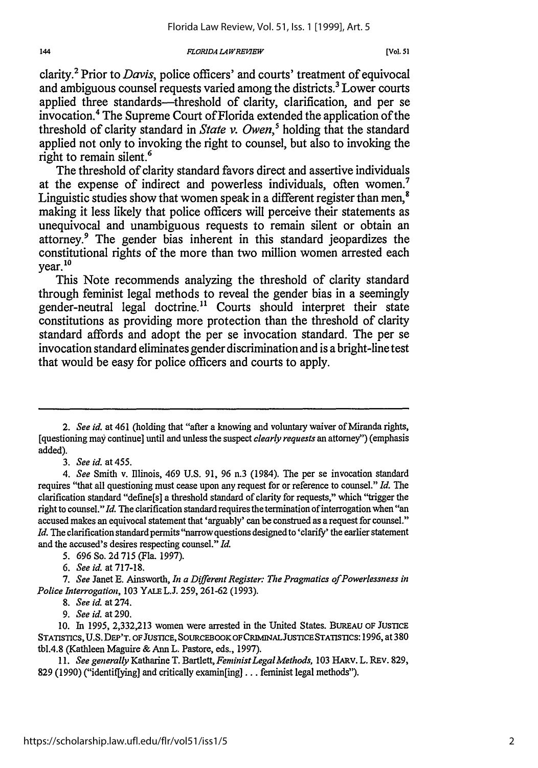*FZORIDA L4WREP7EW*

clarity.2 Prior to *Davis,* police officers' and courts' treatment of equivocal and ambiguous counsel requests varied among the districts.<sup>3</sup> Lower courts applied three standards—threshold of clarity, clarification, and per se invocation.' The Supreme Court of Florida extended the application of the threshold of clarity standard in *State v. Owen,5* holding that the standard applied not only to invoking the right to counsel, but also to invoking the right to remain silent.<sup>6</sup>

The threshold of clarity standard favors direct and assertive individuals at the expense of indirect and powerless individuals, often women.7 Linguistic studies show that women speak in a different register than men, $^8$ making it less likely that police officers will perceive their statements as unequivocal and unambiguous requests to remain silent or obtain an attorney.9 The gender bias inherent in this standard jeopardizes the constitutional rights of the more than two million women arrested each year. **10**

This Note recommends analyzing the threshold of clarity standard through feminist legal methods to reveal the gender bias in a seemingly gender-neutral legal doctrine." Courts should interpret their state constitutions as providing more protection than the threshold of clarity standard affords and adopt the per se invocation standard. The per se invocation standard eliminates gender discrimination and is a bright-line test that would be easy for police officers and courts to apply.

*3. See id.* at 455.

*5.* 696 So. 2d 715 (Fla. 1997).

*6. See id.* at 717-18.

7. See Janet E. Ainsworth, *In a Different Register: The Pragmatics of Powerlessness in Police Interrogation,* 103 YALE L.J. 259, 261-62 (1993).

*9. See id.* at 290.

**10.** In 1995, 2,332,213 women were arrested in the United States. BUREAU OF JUSTICE STATISTICS, U.S. DEP'T. OF JUSTICE, SOURCEBOOKOFCRIMINALJUSTICESTATISTICS: 1996, at 380 tbl.4.8 (Kathleen Maguire & Ann L. Pastore, eds., 1997).

11. *See generally* Katharine T. Bartlett, *FeministLegal Methods,* 103 HARV. L. REV. 829, 829 (1990) ("identiffying] and critically examin[ing] **...** feminist legal methods").

*<sup>2.</sup> See id.* at 461 (holding that "after a knowing and voluntary waiver of Miranda rights, [questioning may continue] until and unless the suspect *clearly requests* an attorney") (emphasis added).

*<sup>4.</sup> See* Smith v. Illinois, 469 U.S. 91, 96 n.3 (1984). The per se invocation standard requires "that all questioning must cease upon any request for or reference to counsel." *Id.* The clarification standard "define[s] a threshold standard of clarity for requests," which "trigger the right to counsel." *Id.* The clarification standard requires the termination of interrogation when "an accused makes an equivocal statement that 'arguably' can be construed as a request for counsel." *Id.* The clarification standard permits 'narrow questions designed to 'clarify' the earlier statement and the accused's desires respecting counsel." *Id.*

*<sup>8.</sup> See id.* at 274.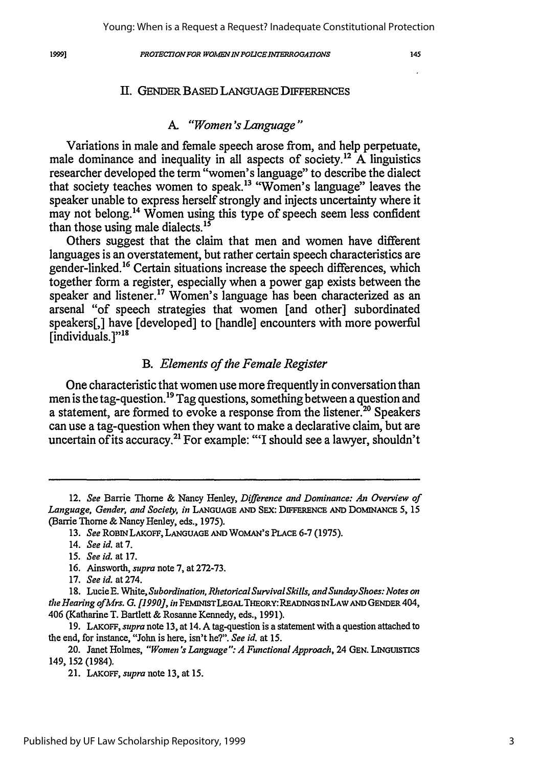#### 1999]

145

### II. GENDER BASED LANGUAGE DIFFERENCES

### *A. "Women's Language"*

Variations in male and female speech arose from, and help perpetuate, male dominance and inequality in all aspects of society.12 **A** linguistics researcher developed the term "women's language" to describe the dialect that society teaches women to speak.<sup>13</sup> "Women's language" leaves the speaker unable to express herself strongly and injects uncertainty where it may not belong.<sup>14</sup> Women using this type of speech seem less confident than those using male dialects. $15$ 

Others suggest that the claim that men and women have different languages is an overstatement, but rather certain speech characteristics are gender-linked.<sup>16</sup> Certain situations increase the speech differences, which together **form** a register, especially when a power gap exists between the speaker and listener.<sup>17</sup> Women's language has been characterized as an arsenal "of speech strategies that women [and other] subordinated speakers[,] have [developed] to [handle] encounters with more powerful  $[$ individuals. $]$ "<sup>18</sup>

### *B. Elements of the Female Register*

One characteristic that women use more frequently in conversation than men is the tag-question.<sup>19</sup> Tag questions, something between a question and a statement, are formed to evoke a response from the listener.<sup>20</sup> Speakers can use a tag-question when they want to make a declarative claim, but are uncertain of its accuracy.<sup>21</sup> For example: "'I should see a lawyer, shouldn't

- 16. Ainsworth, *supra* **note 7,** at 272-73.
- 17. *See id.* at 274.

<sup>12.</sup> *See* Barrie Thome & Nancy Henley, *Difference and Dominance: An Overview of Language, Gender, and Society, in* LANGUAGE **AND** SEX: DIFFERENCE **AND** DOMINANCE **5,** *15* (Barrie Thorne **& Nancy Henley,** eds., 1975).

<sup>13.</sup> *See* ROBIN LAKOFF, **LANGUAGE AND** WOMAN'S PLACE 6-7 (1975).

<sup>14.</sup> *See id.* at 7.

<sup>15.</sup> *See id.* at **17.**

<sup>18.</sup> Lucie E. White, *Subordination, Rhetorical Survival Skills, andSundayShoes: Notes on the Hearing ofMrs. G. [1990], in* FEMINISTLEGALTHEORY:READINGS **INLAW AND GENDER** 404, 406 (Katharine T. Bartlett & Rosanne Kennedy, eds., 1991).

<sup>19.</sup> LAKOFF, *supra* note 13, at 14. A tag-question is a statement with a question attached to the end, for instance, "John is here, isn't he?". *See id.* at 15.

<sup>20.</sup> Janet Holmes, *"Women's Language ": A Functional Approach,* 24 GEN. LINGUISTICS 149, 152 (1984).

<sup>21.</sup> LAKOFF, *supra* note **13,** at 15.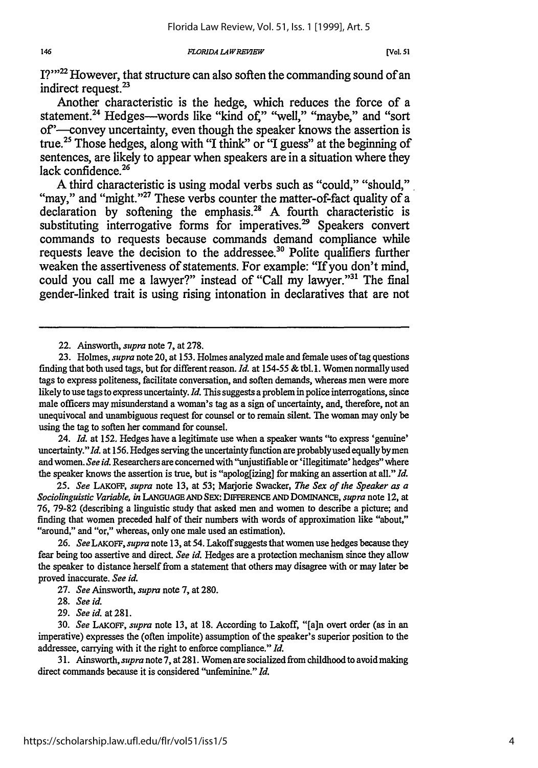I?"<sup>22</sup> However, that structure can also soften the commanding sound of an indirect request.<sup>23</sup>

Another characteristic is the hedge, which reduces the force of a statement.<sup>24</sup> Hedges---words like "kind of," "well," "maybe," and "sort of'-convey uncertainty, even though the speaker knows the assertion is true.<sup>25</sup> Those hedges, along with "I think" or "I guess" at the beginning of sentences, are likely to appear when speakers are in a situation where they lack confidence.<sup>26</sup><br>A third characteristic is using modal verbs such as "could," "should,"

"may," and "might."<sup>27</sup> These verbs counter the matter-of-fact quality of a declaration by softening the emphasis.<sup>28</sup> A fourth characteristic is substituting interrogative forms for imperatives.<sup>29</sup> Speakers convert commands to requests because commands demand compliance while requests leave the decision to the addressee.<sup>30</sup> Polite qualifiers further weaken the assertiveness of statements. For example: "If you don't mind, could you call me a lawyer?" instead of "Call my lawyer."<sup>31</sup> The final gender-linked trait is using rising intonation in declaratives that are not

22. Ainsworth, *supra* note 7, at 278.

23. Holmes, *supra* note 20, at 153. Holmes analyzed male and female uses of tag questions finding that both used tags, but for different reason. *Id.* at 154-55 & tbl. **1.** Women normally used tags to express politeness, facilitate conversation, and soften demands, whereas men were more likely to use tags to express uncertainty. *Id.* This suggests a problem in police interrogations, since male officers may misunderstand a woman's tag as a sign of uncertainty, and, therefore, not an unequivocal and unambiguous request for counsel or to remain silent. The woman may only be using the tag to soften her command for counsel.

24. *Id.* at 152. Hedges have a legitimate use when a speaker wants "to express 'genuine' uncertainty." *Id.* at 156. Hedges serving the uncertainty function are probably used equally by men and women. *See id.* Researchers are concerned with "unjustifiable or 'illegitimate' hedges" where the speaker knows the assertion is true, but is "apolog[izing ] for making an assertion at all." *Id.*

25. *See* LAKOFF, *supra* note **13,** at 53; Marjorie Swacker, *The Sex of the Speaker as a Sociolinguistic Variable, in* LANGUAGE **AND** SEX: DIFFERENCE **AND** DOMINANCE, *supra* note 12, at **76, 79-82** (describing a linguistic study that asked men and women to describe a picture; and finding that women preceded half of their numbers with words of approximation like "about," "around," and "or," whereas, only one male used an estimation).

26. *See LAKoFF, supra* note 13, at 54. Lakoff suggests that women use hedges because they fear being too assertive and direct. *See id.* Hedges are a protection mechanism since they allow the speaker to distance herself from a statement that others may disagree with or may later be proved inaccurate. *See id.*

27. *See Ainsworth, supra* note 7, at 280.

29. *See id.* at **281.**

30. *See LAKoFF, supra* note 13, at **18.** According to Lakoff, "[a]n overt order (as in an imperative) expresses the (often impolite) assumption of the speaker's superior position to the addressee, carrying with it the right to enforce compliance." *Id.*

31. Ainsworth, *supra* note 7, at 281. Women are socialized from childhood to avoid making direct commands because it is considered "unfeminine." *Id.*

<sup>28.</sup> *See id.*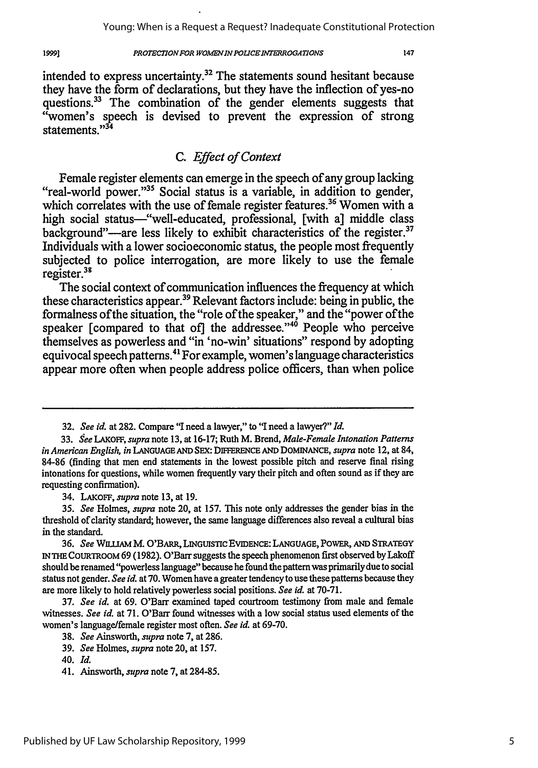#### *PROTECTION FOR WOMEN IN POLICE INTERROGATIONS*

intended to express uncertainty.32 The statements sound hesitant because they have the form of declarations, but they have the inflection of yes-no questions.<sup>33</sup> The combination of the gender elements suggests that "women's speech is devised to prevent the expression of strong statements<sup>34</sup>

## *C. Effect of Context*

Female register elements can emerge in the speech of any group lacking<br>"real-world power."<sup>35</sup> Social status is a variable, in addition to gender, which correlates with the use of female register features.<sup>36</sup> Women with a high social status-"well-educated, professional, [with a] middle class background"—are less likely to exhibit characteristics of the register. $37$ Individuals with a lower socioeconomic status, the people most frequently subjected to police interrogation, are more likely to use the female register.<sup>31</sup>

The social context of communication influences the frequency at which these characteristics appear. 9 Relevant factors include: being in public, the formalness of the situation, the "role of the speaker," and the "power of the speaker [compared to that of] the addressee."<sup>40</sup> People who perceive themselves as powerless and "in 'no-win' situations" respond **by** adopting equivocal speech patterns.<sup>41</sup> For example, women's language characteristics appear more often when people address police officers, than when police

34. LAKOFF, *supra* note 13, at 19.

19991

**<sup>32.</sup>** *See id.* at **282.** Compare "I need a lawyer," to "I need a lawyer?" *Id.*

<sup>33.</sup> *See LAKOFF, supra* note 13, at 16-17; Ruth M. Brend, *Male-Female Intonation Patterns in American English, in* **LANGUAGE AND SEX:** DIFFERENCE *AND* DOMINANCE, *supra* note 12, at 84, 84-86 (finding that men end statements in the lowest possible pitch and reserve final rising intonations for questions, while women frequently vary their pitch and often sound as if they are requesting confirmation).

<sup>35.</sup> *See* Holmes, *supra* note 20, at 157. This note only addresses the gender bias in the threshold of clarity standard; however, the same language differences also reveal a cultural bias in the standard.

<sup>36.</sup> *See* wauM M. O'BARR, LINGtUSTIC **EVIDENCE:** LANGUAGE, POwER, **AND** STRATEGY *IN* **THE** COURTROOM **69** (1982). O'Barr suggests the speech phenomenon first observed byLakoff should be renamed'"powerless language" because he found the pattermwas primarily due to social status not gender. *See id.* at 70. Women have a greater tendency to use these patterns because they are more likely to hold relatively powerless social positions. *See id.* at 70-71.

<sup>37.</sup> *See id.* at 69. O'Barr examined taped courtroom testimony from male and female witnesses. *See id.* at 71. O'Barr found witnesses with a low social status used elements of the women's language/female register most often. *See id.* at 69-70.

<sup>38.</sup> *See* Ainsworth, *supra* note 7, at 286.

<sup>39.</sup> *See* Holmes, *supra* note 20, at 157.

**<sup>40.</sup>** *Id.*

<sup>41.</sup> Ainsworth, *supra* note 7, at 284-85.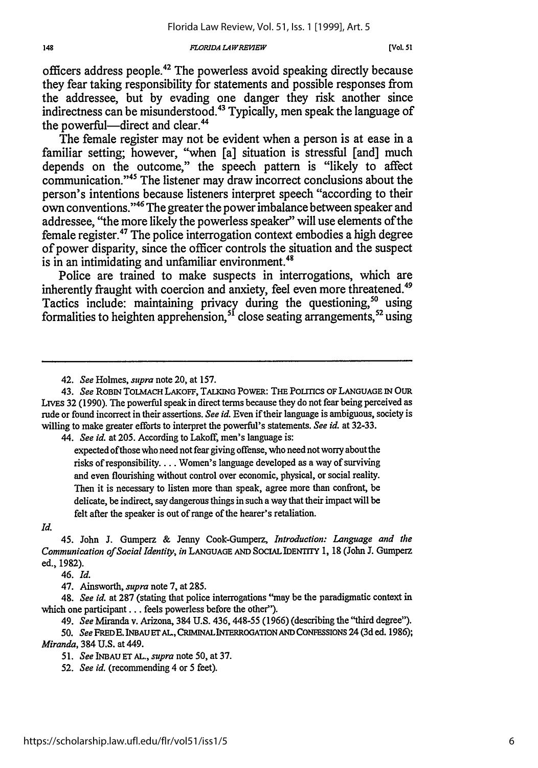#### *FLORIDA LA WREMEW*

officers address people.42 The powerless avoid speaking directly because they fear taking responsibility for statements and possible responses from the addressee, but **by** evading one danger they risk another since indirectness can be misunderstood.<sup>43</sup> Typically, men speak the language of the powerful—direct and clear.<sup>44</sup>

The female register may not be evident when a person is at ease in a familiar setting; however, "when [a] situation is stressful [and] much depends on the outcome," the speech pattern is "likely to affect communication."45 The listener may draw incorrect conclusions about the person's intentions because listeners interpret speech "according to their own conventions. 46 The greater the power imbalance between speaker and addressee, "the more likely the powerless speaker" will use elements of the female register.<sup>47</sup> The police interrogation context embodies a high degree of power disparity, since the officer controls the situation and the suspect is in an intimidating and unfamiliar environment.<sup>48</sup>

Police are trained to make suspects in interrogations, which are inherently fraught with coercion and anxiety, feel even more threatened.<sup>49</sup> Tactics include: maintaining privacy during the questioning,<sup>50</sup> using formalities to heighten apprehension, <sup>51</sup> close seating arrangements, <sup>52</sup> using

44. *See id.* at 205. According to Lakoff, men's language is:

expected of those who need not fear giving offense, who need not worry about the risks of responsibility.... Women's language developed as a way of surviving and even flourishing without control over economic, physical, or social reality. Then it is necessary to listen more than speak, agree more than confront, be delicate, be indirect, say dangerous things in such a way that their impact will be felt after the speaker is out of range of the hearer's retaliation.

*Id.*

45. John J. Gumperz & Jenny Cook-Gumperz, *Introduction: Language and the Communication of Social Identiy, in* **LANGUAGE AND** SOCIAL IDENTTrY 1, 18 (John J. Gumperz ed., 1982).

46. *Id.*

47. Ainsworth, *supra* note 7, at 285.

49. *See* Miranda v. Arizona, 384 U.S. 436, 448-55 (1966) (describing the "third degree").

*<sup>42.</sup> See* Holmes, *supra* note 20, at 157.

<sup>43.</sup> *See* ROBIN TOLMACH LAKOFF, TALKING PowER: THE PoLincs OF **LANGUAGE IN** *OUR* LIvEs **32 (1990).** The powerful speak in direct terms because they do not fear being perceived as rude or found incorrect in their assertions. *See id.* Even if their language is ambiguous, society is willing to make greater efforts to interpret the powerful's statements. *See id.* at 32-33.

<sup>48.</sup> *See id.* at 287 (stating that police interrogations "may be the paradigmatic context in which one participant **...** feels powerless before the other").

<sup>50.</sup> See FRED E. INBAU ET AL., CRIMINAL INTERROGATION AND CONFESSIONS 24 (3d ed. 1986); *Miranda,* 384 U.S. at 449.

<sup>51.</sup> *See* **INBAU ET AL.,** *supra* note 50, at 37.

<sup>52.</sup> *See id.* (recommending 4 or 5 feet).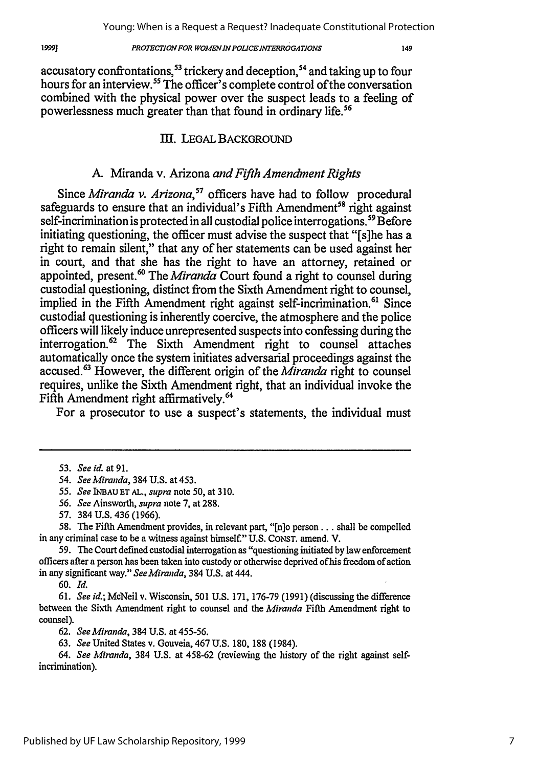#### *PROTECTION FOR WOMENINPOLICEINTERROGATIONS*

accusatory confrontations,<sup>53</sup> trickery and deception,<sup>54</sup> and taking up to four hours for an interview.<sup>55</sup> The officer<sup>5</sup>s complete control of the conversation combined with the physical power over the suspect leads to a feeling of powerlessness much greater than that found in ordinary life.<sup>56</sup>

### III. LEGAL BACKGROUND

### A. Miranda v. Arizona *and Fifth Amendment Rights*

Since *Miranda v. Arizona*,<sup>57</sup> officers have had to follow procedural safeguards to ensure that an individual's Fifth Amendment<sup>58</sup> right against  $self\overline{\phantom{a}}\text{incrimination}$  is protected in all custodial police interrogations.<sup>59</sup> Before initiating questioning, the officer must advise the suspect that "[s]he has a right to remain silent," that any of her statements can be used against her in court, and that she has the right to have an attorney, retained or appointed, present.<sup>60</sup> The *Miranda* Court found a right to counsel during custodial questioning, distinct from the Sixth Amendment right to counsel, implied in the Fifth Amendment right against self-incrimination.<sup>61</sup> Since custodial questioning is inherently coercive, the atmosphere and the police officers will likely induce unrepresented suspects into confessing during the interrogation.62 The Sixth Amendment right to counsel attaches automatically once the system initiates adversarial proceedings against the accused.63 However, the different origin of the *Miranda* right to counsel requires, unlike the Sixth Amendment right, that an individual invoke the Fifth Amendment right affirmatively.<sup>64</sup>

For a prosecutor to use a suspect's statements, the individual must

55. *See* INBAU **ET AL.,** *supra* note 50, at 310.

- 56. *See* Ainsworth, *supra* note 7, at **288.**
- 57. 384 U.S. 436 (1966).

58. The Fifth Amendment provides, in relevant part, "[n]o person... shall be compelled in any criminal case to be a witness against himself." U.S. CONST. amend. V.

59. The Court defined custodial interrogation as "questioning initiated by law enforcement officers after a person has been taken into custody or otherwise deprived of his freedom of action in any significant way." *See Miranda,* 384 U.S. at 444.

**60.** *Id.*

**61.** *See id.;* McNeil v. Wisconsin, **501 U.S. 171, 176-79 (1991)** (discussing the difference between the Sixth Amendment right to counsel and the *Miranda* Fifth Amendment right to counsel).

62. *See Miranda,* 384 U.S. at 455-56.

63. *See* United States v. Gouveia, 467 U.S. 180, 188 (1984).

64. *See Miranda,* 384 U.S. at 458-62 (reviewing the history of the right against selfincrimination).

Published by UF Law Scholarship Repository, 1999

1999]

<sup>53.</sup> *See* **id.** at **91.**

<sup>54.</sup> *See Miranda,* 384 U.S. at 453.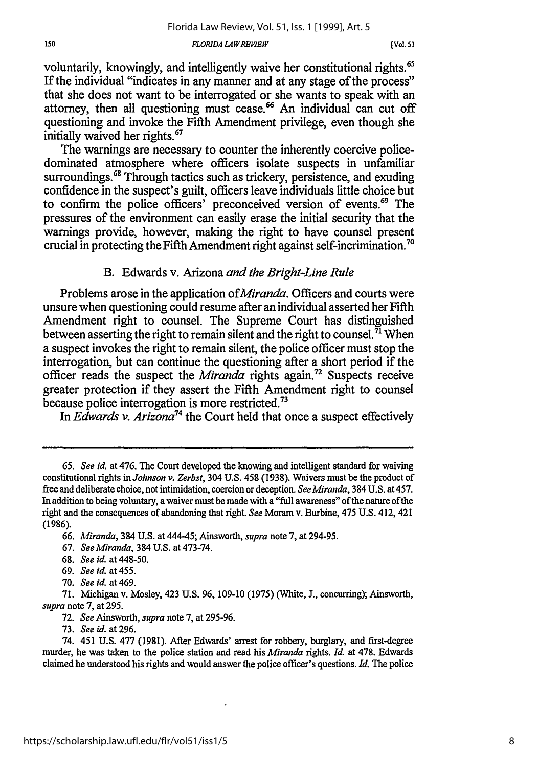voluntarily, knowingly, and intelligently waive her constitutional rights.<sup>65</sup> If the individual "indicates in any manner and at any stage of the process" that she does not want to be interrogated or she wants to speak with an attorney, then all questioning must cease.<sup>66</sup> An individual can cut off questioning and invoke the Fifth Amendment privilege, even though she initially waived her rights.<sup>67</sup>

The warnings are necessary to counter the inherently coercive policedominated atmosphere where officers isolate suspects in unfamiliar surroundings.<sup>68</sup> Through tactics such as trickery, persistence, and exuding confidence in the suspect's guilt, officers leave individuals little choice but to confirm the police officers' preconceived version of events.<sup>69</sup> The pressures of the environment can easily erase the initial security that the warnings provide, however, making the right to have counsel present crucial in protecting the Fifth Amendment right against self-incrimination.<sup>7</sup>

### B. Edwards v. Arizona *and the Bright-Line Rule*

Problems arose in the application *ofMiranda.* Officers and courts were unsure when questioning could resume after an individual asserted her Fifth Amendment right to counsel. The Supreme Court has distinguished between asserting the right to remain silent and the right to counsel.  $\bar{7}$  When a suspect invokes the right to remain silent, the police officer must stop the interrogation, but can continue the questioning after a short period if the officer reads the suspect the *Miranda* rights again.<sup>72</sup> Suspects receive greater protection if they assert the Fifth Amendment right to counsel because police interrogation is more restricted.<sup>73</sup>

In *Edwards v. Arizona74* the Court held that once a suspect effectively

- 68. *See id.* at 448-50.
- 69. *See id.* at455.
- 70. *Seeid.* at469.

<sup>65.</sup> *See id.* at 476. The Court developed the knowing and intelligent standard for waiving constitutional rights in *Johnson v. Zerbst,* 304 U.S. 458 (1938). Waivers must be the product of free and deliberate choice, not intimidation, coercion or deception. *SeeMiranda,* 384 U.S. at 457. In addition to being voluntary, a waiver must be made with a "full awareness" of the nature of the right and the consequences of abandoning that right. *See* Moram v. Burbine, 475 U.S. 412, 421 (1986).

<sup>66.</sup> *Miranda,* 384 U.S. at 444-45; Ainsworth, *supra* note 7, at 294-95.

<sup>67.</sup> *See Miranda,* 384 U.S. at 473-74.

<sup>71.</sup> Michigan v. Mosley, 423 U.S. 96, 109-10 (1975) (White, J., concurring); Ainsworth, *supra* note 7, at 295.

<sup>72.</sup> *See Ainsworth, supra* note 7, at 295-96.

<sup>73.</sup> *See id.* at 296.

<sup>74. 451</sup> U.S. 477 (1981). After Edwards' arrest for robbery, burglary, and first-degree murder, he was taken to the police station and read his *Miranda rights. Id.* at 478. Edwards claimed he understood his rights and would answer the police officer's questions. *Id.* The police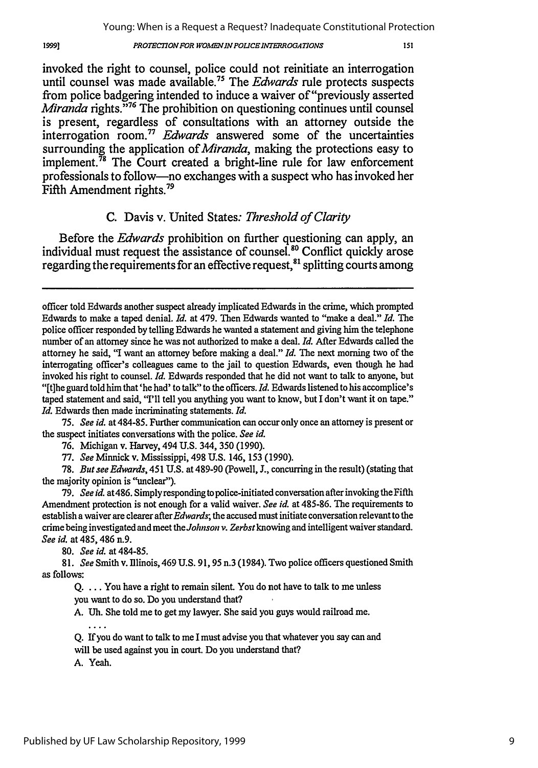#### *PROTECTION FOR WOMEN IN POLICE INTERROGATIONS*

invoked the right to counsel, police could not reinitiate an interrogation until counsel was made available.75 The *Edwards* rule protects suspects from police badgering intended to induce a waiver of "previously asserted *Miranda* rights.<sup>376</sup> The prohibition on questioning continues until counsel is present, regardless of consultations with an attorney outside the interrogation room." *Edwards* answered some of the uncertainties surrounding the application *of Miranda,* making the protections easy to implement.<sup>78</sup> The Court created a bright-line rule for law enforcement professionals to follow-no exchanges with a suspect who has invoked her Fifth Amendment rights.<sup>79</sup>

### **C.** Davis v. United States: *Threshold of Clarity*

Before the *Edwards* prohibition on further questioning can apply, an individual must request the assistance of counsel.<sup>80</sup> Conflict quickly arose regarding the requirements for an effective request,  $^{81}$  splitting courts among

75. *See id.* at 484-85. Further communication can occur only once an attorney is present or the suspect initiates conversations with the police. *See id.*

76. Michigan v. Harvey, 494 U.S. 344, 350 (1990).

77. *See* Minnick v. Mississippi, 498 U.S. 146, 153 (1990).

78. *But see Edwards,* 451 **U.S.** at 489-90 (Powell, **J.,** concurring in the result) (stating that the majority opinion is "unclear").

79. *See id.* at486. Simply responding to police-initiated conversation after invoking the Fifth Amendment protection is not enough for a valid waiver. *See id.* at 485-86. The requirements to establish a waiver are clearer after *Edwards*; the accused must initiate conversation relevant to the crime being investigated and meet the *Johnson v. Zerbst* knowing and intelligent waiver standard. *See id.* at 485, 486 n.9.

80. *See id.* at 484-85.

81. *See* Smith v. Illinois, 469 **U.S. 91,** 95 n.3 (1984). Two police officers questioned Smith as follows:

Q. ... You have a right to remain silent. You do not have to talk to me unless you want to do so. Do you understand that?

A. **Uh.** She told me to get my lawyer. She said you guys would railroad me.  $\sim$   $\sim$   $\sim$ 

Q. **If** you do want to talk to me I must advise you that whatever you say can and will be used against you in court. Do you understand that?

*A.* Yeah.

19991

officer told Edwards another suspect already implicated Edwards in the crime, which prompted Edwards to make a taped denial. *Id.* at 479. Then Edwards wanted to "make a deal." *Id.* The police officer responded by telling Edwards he wanted a statement and giving him the telephone number of an attorney since he was not authorized to make a deal. *Id.* After Edwards called the attorney he said, "I want an attorney before making a deal." *Id.* The next morning two of the interrogating officer's colleagues came to the jail to question Edwards, even though he had invoked his right to counsel. *Id.* Edwards responded that he did not want to talk to anyone, but "[t]he guard told him that'he had' to talk" to the officers. *Id.* Edwards listened to his accomplice's taped statement and said, "I'll tell you anything you want to know, but I don't want it on tape." *Id.* Edwards then made incriminating statements. *Id.*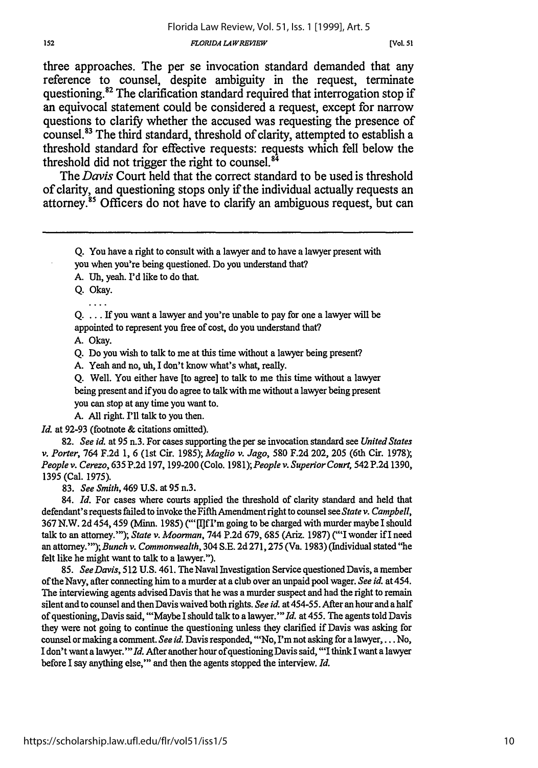[Vol. **51**

three approaches. The per se invocation standard demanded that any reference to counsel, despite ambiguity in the request, terminate questioning.<sup>82</sup> The clarification standard required that interrogation stop if an equivocal statement could be considered a request, except for narrow questions to clarify whether the accused was requesting the presence of counsel.83 The third standard, threshold of clarity, attempted to establish a threshold standard for effective requests: requests which fell below the threshold did not trigger the right to counsel.<sup>84</sup>

The Davis Court held that the correct standard to be used is threshold of clarity, and questioning stops only if the individual actually requests an attorney.<sup>85</sup> Officers do not have to clarify an ambiguous request, but can

**Q.** You have a right to consult with a lawyer and to have a lawyer present with

you when you're being questioned. Do you understand that?

A. **Uh,** yeah. I'd like to do that.

Q. Okay. . . . .

 $Q. \ldots$  If you want a lawyer and you're unable to pay for one a lawyer will be appointed to represent you free of cost, do you understand that?

A. Okay.

Q. Do you wish to talk to me at this time without a lawyer being present?

A. Yeah and no, **uh,** I don't know what's what, really.

**Q.** Well. You either have [to agree] to talk to me this time without a lawyer being present and if you do agree to talk with me without a lawyer being present you can stop at any time you want to.

A. All right. I'll talk to you then.

*Id.* at 92-93 (footnote & citations omitted).

82. *See id.* at 95 n.3. For cases supporting the per se invocation standard see *United States v. Porter,* 764 F.2d 1, 6 (lst Cir. 1985); *Maglio v. Jago,* 580 F.2d 202, 205 (6th Cir. 1978); *People v. Cerezo,* 635 **P.2d** 197,199-200 (Colo. *1981);People v. Superior Court,* 542 P.2d 1390, 1395 (Cal. 1975).

83. *See Smith,* 469 U.S. at 95 n.3.

84. *Id.* For cases where courts applied the threshold of clarity standard and held that defendant's requests failed to invoke the Fifth Amendment right to counsel see *State v. Campbell,* 367 N.W. 2d 454, 459 (Minn. 1985) ("'[]f I'm going to be charged with murder maybe I should talk to an attorney.""); State v. Moorman, 744 P.2d 679, 685 (Ariz. 1987) ("'I wonder if I need an attorney."'); *Bunch v. Commonwealth,* 304 S.E. 2d 271,275 (Va. 1983) (Individual stated "he felt like he might want to talk to a lawyer.").

85. *See Davis,* 512 U.S. 461. The Naval Investigation Service questioned Davis, a member of the Navy, after connecting him to a murder at a club over an unpaid pool wager. *See id.* at 454. The interviewing agents advised Davis that he was a murder suspect and had the right to remain silent and to counsel and then Davis waived both rights. *See id.* at 454-55. After an hour and a half of questioning, Davis said, "'Maybe I should talk to a lawyer."' *Id.* at 455. The agents told Davis they were not going to continue the questioning unless they clarified if Davis was asking for counsel or making a comment. *See id.* Davis responded, "'No, I'm not asking for a lawyer,... No, I don't want a lawyer."' *Id.* After another hour of questioning Davis said, "'I think I want a lawyer before I say anything else,"' and then the agents stopped the interview. *Id.*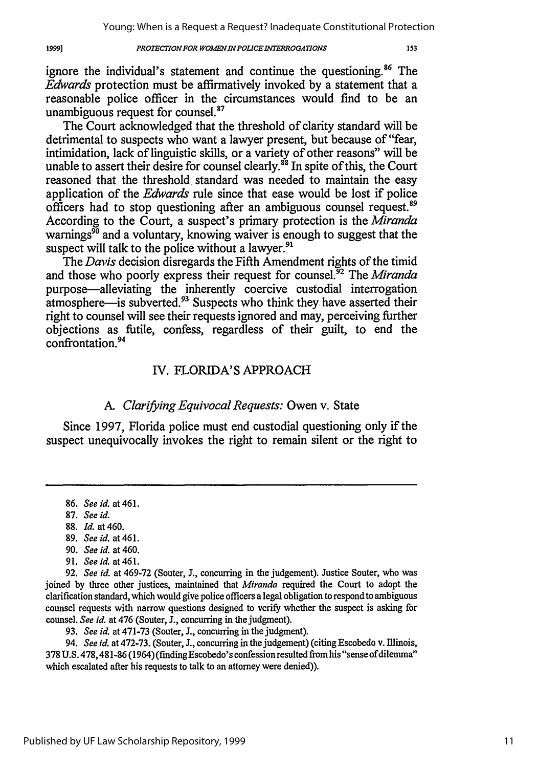#### *PROTECTIONFOR WOMENINPOLICEINTERROGATIONS*

153

ignore the individual's statement and continue the questioning.<sup>86</sup> The *Edwards* protection must be affirmatively invoked by a statement that a reasonable police officer in the circumstances would find to be an unambiguous request for counsel.<sup>87</sup>

The Court acknowledged that the threshold of clarity standard will be detrimental to suspects who want a lawyer present, but because of "fear, intimidation, lack of linguistic skills, or a variety of other reasons" will be unable to assert their desire for counsel clearly.<sup>88</sup> In spite of this, the Court reasoned that the threshold standard was needed to maintain the easy application of the *Edwards* rule since that ease would be lost if police officers had to stop questioning after an ambiguous counsel request.<sup>89</sup> According to the Court, a suspect's primary protection is the *Miranda* warnings<sup> $\delta$ 0</sup> and a voluntary, knowing waiver is enough to suggest that the suspect will talk to the police without a lawyer.<sup>91</sup>

The *Davis* decision disregards the Fifth Amendment rights of the timid and those who poorly express their request for counsel.<sup>32</sup> The *Miranda* purpose-alleviating the inherently coercive custodial interrogation atmosphere—is subverted.<sup>93</sup> Suspects who think they have asserted their right to counsel will see their requests ignored and may, perceiving further objections as futile, confess, regardless of their guilt, to end the confrontation. <sup>94</sup>

### IV. FLORIDA'S APPROACH

### *A. Clarifying Equivocal Requests:* Owen v. State

Since 1997, Florida police must end custodial questioning only if the suspect unequivocally invokes the right to remain silent or the right to

19991

- 90. *See id.* at 460.
- 91. *Seeid.* at461.

93. *See id.* at 471-73 (Souter, J., concurring in the judgment).

*94. See id.* at 472-73. (Souter, *3.,* concurring in the judgement) (citing Escobedo v. Illinois, 378 U.S. 478,481-86 (1964) (finding Escobedo's confession resulted from his "sense of dilemma" which escalated after his requests to talk to an attorney were denied)).

<sup>86.</sup> *See id.* at 461.

<sup>87.</sup> *See id.*

<sup>88.</sup> *Id.* at 460.

<sup>89.</sup> *Seeid.* at461.

<sup>92.</sup> *See id.* at 469-72 (Souter, **J.,** concurring in the judgement). Justice Souter, who was joined by three other justices, maintained that *Miranda* required the Court to adopt the clarification standard, which would give police officers a legal obligation to respond to ambiguous counsel requests with narrow questions designed to verify whether the suspect is asking for counsel. *See id.* at 476 (Souter, **J.,** concurring in the judgment).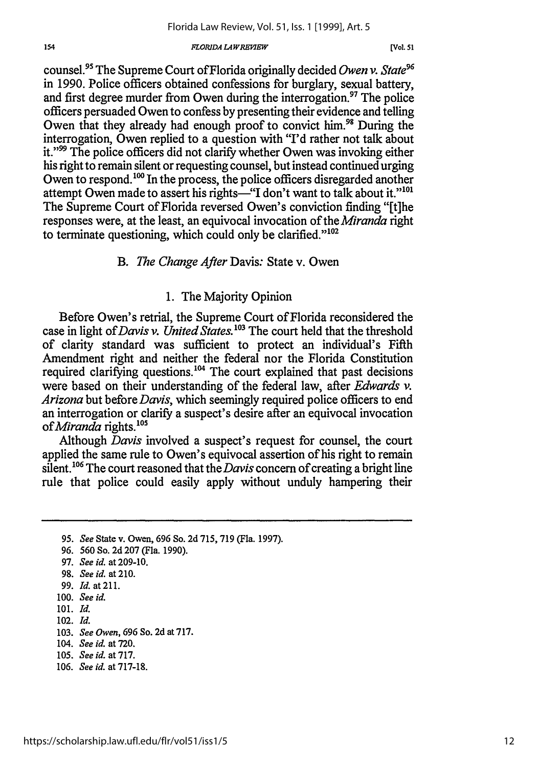[Vol. **51**

counsel.<sup>95</sup> The Supreme Court of Florida originally decided *Owen v. State*<sup>96</sup> in 1990. Police officers obtained confessions for burglary, sexual battery, and first degree murder from Owen during the interrogation.<sup>97</sup> The police officers persuaded Owen to confess by presenting their evidence and telling Owen that they already had enough proof to convict him.<sup>98</sup> During the interrogation, Owen replied to a question with "I'd rather not talk about it."'99 The police officers did not clarify whether Owen was invoking either his right to remain silent or requesting counsel, but instead continued urging Owen to respond.<sup>100</sup> In the process, the police officers disregarded another attempt Owen made to assert his rights-"I don't want to talk about it."<sup>101</sup> The Supreme Court of Florida reversed Owen's conviction finding "[t]he responses were, at the least, an equivocal invocation of *theMiranda* right to terminate questioning, which could only be clarified." $102$ 

### *B. The Change After* Davis: State v. Owen

### 1. The Majority Opinion

Before Owen's retrial, the Supreme Court of Florida reconsidered the case in light of *Davis v. United States*.<sup>103</sup> The court held that the threshold of clarity standard was sufficient to protect an individual's Fifth Amendment right and neither the federal nor the Florida Constitution required clarifying questions.<sup>104</sup> The court explained that past decisions were based on their understanding of the federal law, after *Edwards v. Arizona* but before *Davis,* which seemingly required police officers to end an interrogation or clarify a suspect's desire after an equivocal invocation *of Miranda* rights.'

Although *Davis* involved a suspect's request for counsel, the court applied the same rule to Owen's equivocal assertion of his right to remain silent.<sup>106</sup> The court reasoned that the *Davis* concern of creating a bright line rule that police could easily apply without unduly hampering their

**97.** *Seeid.* at209-10.

100. *See id.*

102. *Id.*

- 104. *See id.* at 720.
- 105. *See id.* at 717.
- 106. *See id.* at 717-18.

**<sup>95.</sup>** *See* State v. Owen, 696 So. 2d 715, **719** (Fla. 1997).

**<sup>96.</sup>** 560 So. 2d **207** (Fla. 1990).

**<sup>98.</sup>** *See id.* at 210.

**<sup>99.</sup>** *Id.* at211.

<sup>101.</sup> *Id.*

<sup>103.</sup> *See Owen,* 696 So. 2d at 717.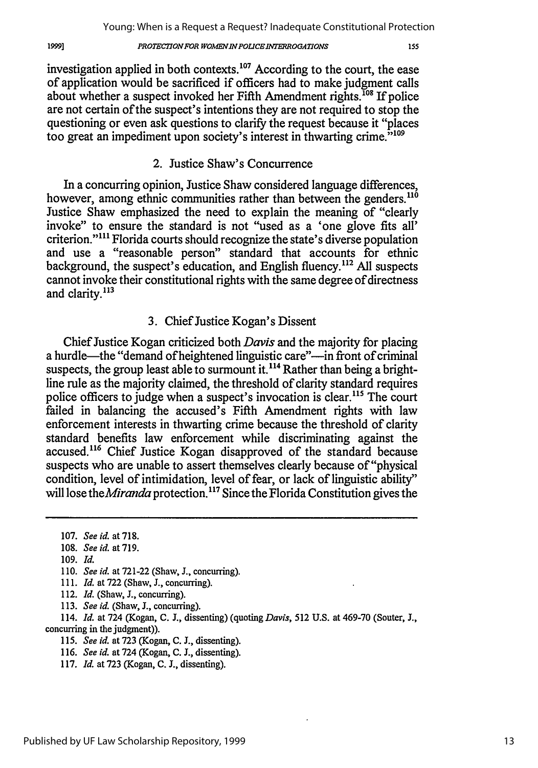### *PROTECTION FOR WOMEN IN POLICE INTERROGATIONS*

investigation applied in both contexts.<sup>107</sup> According to the court, the ease of application would be sacrificed if officers had to make judgment calls about whether a suspect invoked her Fifth Amendment rights.<sup>108</sup> If police are not certain of the suspect's intentions they are not required to stop the questioning or even ask questions to clarify the request because it "places too great an impediment upon society's interest in thwarting crime.<sup>"109</sup>

### 2. Justice Shaw's Concurrence

In a concurring opinion, Justice Shaw considered language differences, however, among ethnic communities rather than between the genders.<sup>116</sup> Justice Shaw emphasized the need to explain the meaning of "clearly invoke" to ensure the standard is not "used as a 'one glove fits all' criterion."<sup>111</sup> Florida courts should recognize the state's diverse population and use a "reasonable person" standard that accounts for ethnic background, the suspect's education, and English fluency.<sup>112</sup> All suspects cannot invoke their constitutional rights with the same degree of directness and clarity.<sup>113</sup>

### 3. Chief Justice Kogan's Dissent

Chief Justice Kogan criticized both Davis and the majority for placing a hurdle—the "demand of heightened linguistic care"—in front of criminal suspects, the group least able to surmount it.<sup>114</sup> Rather than being a brightline rule as the majority claimed, the threshold of clarity standard requires police officers to judge when a suspect's invocation is clear.<sup>115</sup> The court failed in balancing the accused's Fifth Amendment rights with law enforcement interests in thwarting crime because the threshold of clarity standard benefits law enforcement while discriminating against the accused.<sup>116</sup> Chief Justice Kogan disapproved of the standard because suspects who are unable to assert themselves clearly because of "physical condition, level of intimidation, level of fear, or lack of linguistic ability" will lose the *Miranda* protection.<sup>117</sup> Since the Florida Constitution gives the

109. *Id.*

19991

- 112. *Id.* (Shaw, J., concurring).
- 113. *See id.* (Shaw, **J.,** concurring).

114. *Id.* at 724 (Kogan, **C. J.,** dissenting) (quoting *Davis,* 512 U.S. at 469-70 (Souter, **J.,** concurring in the judgment)).

- 115. *See id.* at 723 (Kogan, **C. J.,** dissenting).
- 116. *See id.* at 724 (Kogan, C. **J.,** dissenting).
- 117. *Id.* at 723 (Kogan, C. J., dissenting).

Published by UF Law Scholarship Repository, 1999

155

<sup>107.</sup> *See id.* at 718.

<sup>108.</sup> *See id.* at 719.

<sup>110.</sup> *See id.* at 721-22 (Shaw, J., concurring).

<sup>111.</sup> *Id.* at 722 (Shaw, J., concurring).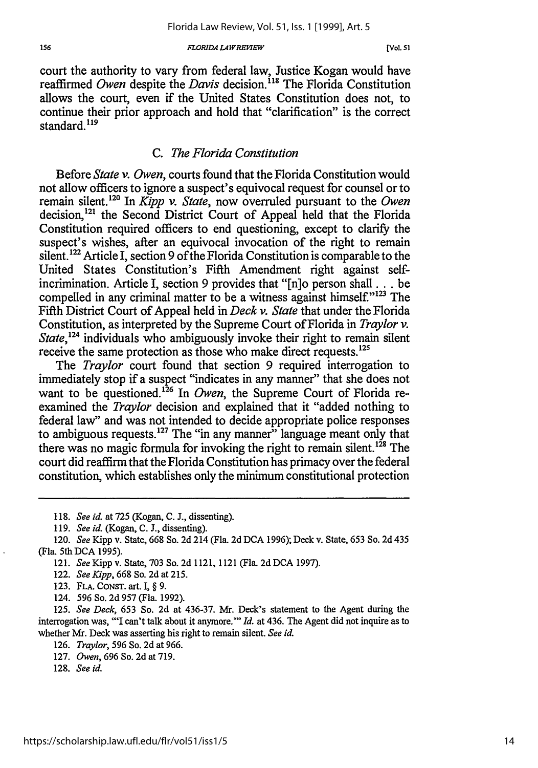#### *FLORIDA LAWREWEW*

court the authority to vary from federal law, Justice Kogan would have reaffirmed *Owen* despite the *Davis* decision.<sup>118</sup> The Florida Constitution allows the court, even if the United States Constitution does not, to continue their prior approach and hold that "clarification" is the correct standard.<sup>119</sup>

### *C. The Florida Constitution*

Before *State v. Owen,* courts found that the Florida Constitution would not allow officers to ignore a suspect's equivocal request for counsel or to remain silent. 20 In *Kipp v. State,* now overruled pursuant to the *Owen* decision,<sup>121</sup> the Second District Court of Appeal held that the Florida Constitution required officers to end questioning, except to clarify the suspect's wishes, after an equivocal invocation of the right to remain silent.<sup>122</sup> Article I, section 9 of the Florida Constitution is comparable to the United States Constitution's Fifth Amendment right against selfincrimination. Article I, section 9 provides that "[n]o person shall... be compelled in any criminal matter to be a witness against himself." $123$  The Fifth District Court of Appeal held in *Deck v. State* that under the Florida Constitution, as interpreted by the Supreme Court of Florida in *Traylor v. State,24* individuals who ambiguously invoke their right to remain silent receive the same protection as those who make direct requests.'<sup>25</sup>

The *Traylor* court found that section 9 required interrogation to immediately stop if a suspect "indicates in any manner" that she does not want to be questioned.<sup>126</sup> In *Owen*, the Supreme Court of Florida reexamined the *Traylor* decision and explained that it "added nothing to federal law" and was not intended to decide appropriate police responses to ambiguous requests.<sup>127</sup> The "in any manner" language meant only that there was no magic formula for invoking the right to remain silent.<sup>128</sup> The court did reaffirm that the Florida Constitution has primacy over the federal constitution, which establishes only the minimum constitutional protection

- 118. *See id.* at 725 (Kogan, C. J., dissenting).
- *119. See id.* (Kogan, C. **J.,** dissenting).

- 121. *SeeKipp* v. State, 703 So. 2d 1121, 1121 (Fla. 2dDCA 1997).
- 122. *See Kipp,* 668 So. 2d at 215.
- 123. FLA. CONsT. art. I, § **9.**
- 124. 596 So. 2d 957 (Fla. 1992).

125. *See Deck,* 653 So. 2d at 436-37. Mr. Deck's statement to the Agent during the interrogation was, "'I can't talk about it anymore."' *Id.* at 436. The Agent did not inquire as to whether Mr. Deck was asserting his right to remain silent. *See id.*

- 126. *Traylor,* 596 So. 2d at 966.
- 127. *Owen,* 696 So. 2d at 719.
- 128. *See id.*

<sup>120.</sup> *See* Kipp v. State, 668 So. 2d 214 (Fla. 2d DCA 1996); Deck v. State, 653 So. 2d 435 (Fla. 5th DCA 1995).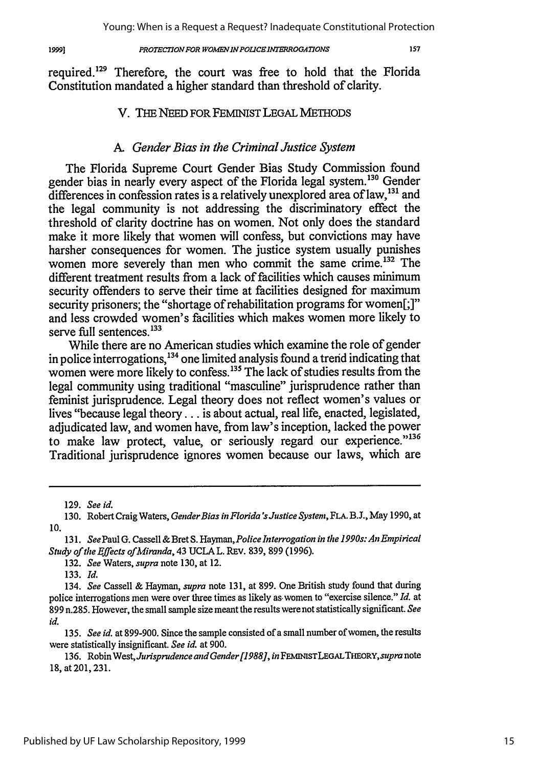19991

#### *PROTECTION FOR WOMENINPOUCEINTRROGATIONS*

157

required.129 Therefore, the court was free to hold that the Florida Constitution mandated a higher standard than threshold of clarity.

### V. THE NEED FOR FEMINIST LEGAL METHODS

### *A. Gender Bias in the Criminal Justice System*

The Florida Supreme Court Gender Bias Study Commission found gender bias in nearly every aspect of the Florida legal system.130 Gender differences in confession rates is a relatively unexplored area of **law,13 '** and the legal community is not addressing the discriminatory effect the threshold of clarity doctrine has on women. Not only does the standard make it more likely that women will confess, but convictions may have harsher consequences for women. The justice system usually punishes women more severely than men who commit the same crime.<sup>132</sup> The different treatment results from a lack of facilities which causes minimum security offenders to serve their time at facilities designed for maximum security prisoners; the "shortage of rehabilitation programs for women[;]" and less crowded women's facilities which makes women more likely to serve full sentences.<sup>133</sup>

While there are no American studies which examine the role of gender in police interrogations,<sup>134</sup> one limited analysis found a trend indicating that women were more likely to confess. **13'** The lack of studies results from the legal community using traditional "masculine" jurisprudence rather than feminist jurisprudence. Legal theory does not reflect women's values or lives "because legal theory.., is about actual, real life, enacted, legislated, adjudicated law, and women have, from law's inception, lacked the power to make law protect, value, or seriously regard our experience."136 Traditional jurisprudence ignores women because our laws, which are

<sup>129.</sup> See id.

<sup>130.</sup> Robert Craig Waters, *GenderBias in Florida'sJustice System,* **FLA.** B.J., May 1990, at 10.

<sup>131.</sup> *See* Paul **G.** Cassell & Bret S. *Hayman,Police Interrogation in the 1990s: An Empirical Study of the* Effects *ofMiranda,* 43 UCLA L. REv. 839, 899 (1996).

<sup>132.</sup> See Waters, *supra* note 130, at 12.

<sup>133.</sup> *Id.*

<sup>134.</sup> *See* Cassell & Hayman, *supra* note 131, at 899. One British study found that during police interrogations men were over three times as likely as women to "exercise silence." *Id.* at 899 n.285. However, the small sample size meant the results were not statistically significant. *See id.*

*<sup>135.</sup>* See *id.* at 899-900. Since the sample consisted of a small number of women, the results were statistically insignificant. See *id.* at 900.

<sup>136.</sup> Robin *WestJurisprudence andGender [19881, in* FEMINISTLEGALTHEORY, *supra* note 18, at 201, 231.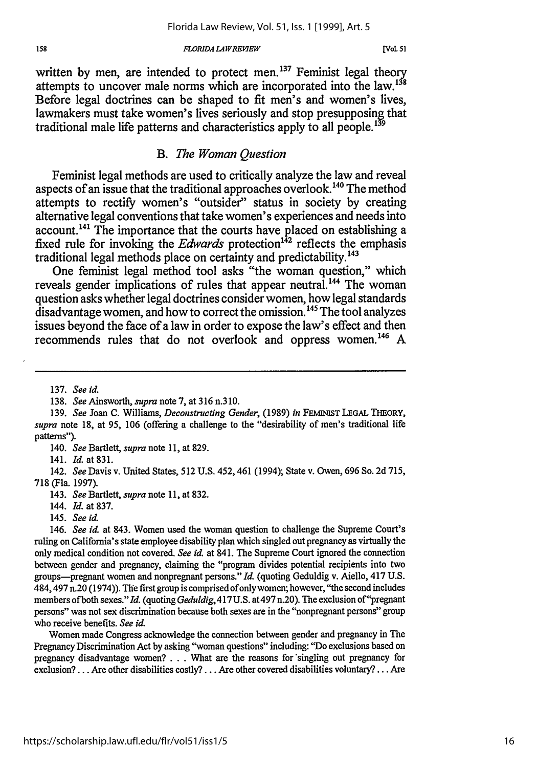written by men, are intended to protect men.<sup>137</sup> Feminist legal theory attempts to uncover male norms which are incorporated into the **law. 131** Before legal doctrines can be shaped to fit men's and women's lives, lawmakers must take women's lives seriously and stop presupposing that traditional male life patterns and characteristics apply to all people.<sup>139</sup>

### *B. The Woman Question*

Feminist legal methods are used to critically analyze the law and reveal aspects of an issue that the traditional approaches overlook.<sup>140</sup> The method attempts to rectify women's "outsider" status in society **by** creating alternative legal conventions that take women's experiences and needs into account.<sup>141</sup> The importance that the courts have placed on establishing a fixed rule for invoking the *Edwards* protection<sup>142</sup> reflects the emphasis traditional legal methods place on certainty and predictability.<sup>143</sup>

One feminist legal method tool asks "the woman question," which reveals gender implications of rules that appear neutral.<sup>144</sup> The woman question asks whether legal doctrines consider women, how legal standards disadvantage women, and how to correct the omission.<sup>145</sup> The tool analyzes issues beyond the face of a law in order to expose the law's effect and then recommends rules that do not overlook and oppress women. <sup>146</sup>**A**

140. *See* Bartlett, *supra* note 11, at 829.

141. *Id.* at 831.

143. *See* Bartlett, *supra* note 11, at **832.**

146. *See id.* at 843. Women used the woman question to challenge the Supreme Court's ruling on California's state employee disability plan which singled out pregnancy as virtually the only medical condition not covered. *See id.* at 841. The Supreme Court ignored the connection between gender and pregnancy, claiming the "program divides potential recipients into two groups-pregnant women and nonpregnant persons." *Id.* (quoting Geduldig v. Aiello, 417 U.S. 484,497 n.20 (1974)). The first group is comprised of only women; however, "the second includes members of both sexes." *Id.* (quoting *Geduldig,417U.S.* at497 n.20). The exclusion of"pregnant persons" was not sex discrimination because both sexes are in the "nonpregnant persons" group who receive benefits. *See id.*

Women made Congress acknowledge the connection between gender and pregnancy in The Pregnancy Discrimination Act by asking "woman questions" including: "Do exclusions based on pregnancy disadvantage women?... What are the reasons for \*singling out pregnancy for exclusion?... Are other disabilities costly? **...** Are other covered disabilities voluntary?... Are

<sup>137.</sup> *See id.*

<sup>138.</sup> *See* Ainsworth, *supra* note 7, at 316 n.310.

<sup>139.</sup> *See* Joan **C.** Williams, *Deconstructing Gender,* (1989) *in* **FEMINIST LEGAL THEORY,** *supra* note 18, at 95, 106 (offering a challenge to the "desirability of men's traditional life patterns").

<sup>142.</sup> *See* Davis v. United States, 512 U.S. 452, 461 (1994); State v. Owen, 696 So. 2d 715, 718 (Fla. 1997).

<sup>144.</sup> Id. at 837.

<sup>145.</sup> *See id.*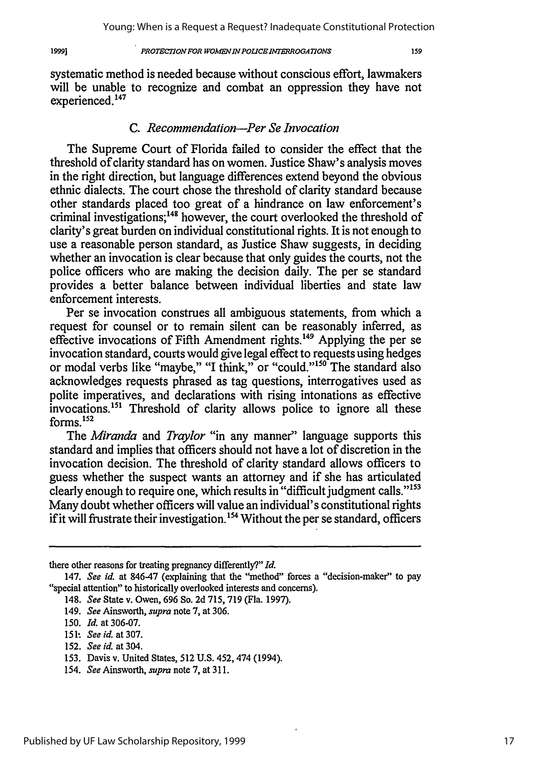1999]

### *PROTECTION FOR WOMEN IN POLICE INTERROGATIONS*

159

systematic method is needed because without conscious effort, lawmakers will be unable to recognize and combat an oppression they have not experienced.<sup>147</sup>

### *C. Recommendation-Per Se Invocation*

The Supreme Court of Florida failed to consider the effect that the threshold of clarity standard has on women. Justice Shaw's analysis moves in the right direction, but language differences extend beyond the obvious ethnic dialects. The court chose the threshold of clarity standard because other standards placed too great of a hindrance on law enforcement's criminal investigations;<sup>148</sup> however, the court overlooked the threshold of clarity's great burden on individual constitutional rights. It is not enough to use a reasonable person standard, as Justice Shaw suggests, in deciding whether an invocation is clear because that only guides the courts, not the police officers who are making the decision daily. The per se standard provides a better balance between individual liberties and state law enforcement interests.

Per se invocation construes all ambiguous statements, from which a request for counsel or to remain silent can be reasonably inferred, as effective invocations of Fifth Amendment rights.<sup>149</sup> Applying the per se invocation standard, courts would give legal effect to requests using hedges or modal verbs like "maybe," "I think," or "could."<sup>150</sup> The standard also acknowledges requests phrased as tag questions, interrogatives used as polite imperatives, and declarations with rising intonations as effective invocations.<sup>151</sup> Threshold of clarity allows police to ignore all these  $152$  forms.<sup>152</sup>

The *Miranda* and *Traylor* "in any manner" language supports this standard and implies that officers should not have a lot of discretion in the invocation decision. The threshold of clarity standard allows officers to guess whether the suspect wants an attorney and if she has articulated clearly enough to require one, which results in "difficult judgment calls."<sup>153</sup> Many doubt whether officers will value an individual's constitutional rights if it will frustrate their investigation.<sup>154</sup> Without the per se standard, officers

- 148. *See* State v. Owen, 696 So. 2d **715, 719** (Fla. 1997).
- 149. *See* Ainsworth, *supra* note **7,** at 306.

there other reasons for treating pregnancy differently?" *Id.*

<sup>147.</sup> *See id.* at 846-47 (explaining that the "method" forces a "decision-maker" to pay "special attention" to historically overlooked interests and concerns).

<sup>150.</sup> *Id.* at 306-07.

**<sup>151&</sup>quot;** *See id.* at **307.**

**<sup>152.</sup>** *See id.* at 304.

**<sup>153.</sup>** Davis v. United States, **512 U.S.** 452,474 (1994).

<sup>154.</sup> *See* Ainsworth, *supra* note **7,** at 311.